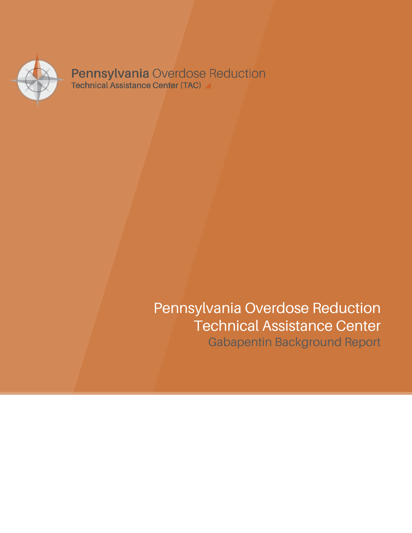

**Pennsylvania Overdose Reduction**<br>Technical Assistance Center (TAC)

# Pennsylvania Overdose Reduction Technical Assistance Center Gabapentin Background Report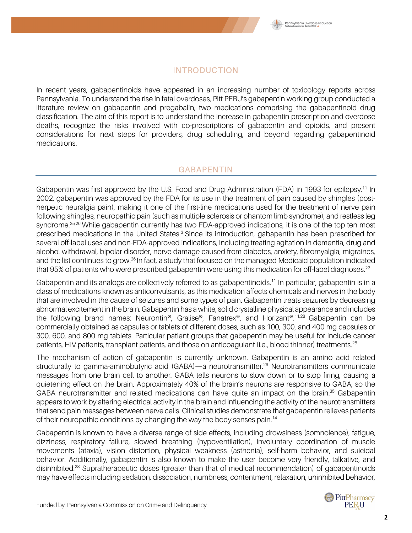

#### INTRODUCTION

In recent years, gabapentinoids have appeared in an increasing number of toxicology reports across Pennsylvania. To understand the rise in fatal overdoses, Pitt PERU's gabapentin working group conducted a literature review on gabapentin and pregabalin, two medications comprising the gabapentinoid drug classification. The aim of this report is to understand the increase in gabapentin prescription and overdose deaths, recognize the risks involved with co-prescriptions of gabapentin and opioids, and present considerations for next steps for providers, drug scheduling, and beyond regarding gabapentinoid medications.

#### **GABAPENTIN**

Gabapentin was first approved by the U.S. Food and Drug Administration (FDA) in 1993 for epilepsy.<sup>11</sup> In 2002, gabapentin was approved by the FDA for its use in the treatment of pain caused by shingles (postherpetic neuralgia pain), making it one of the first-line medications used for the treatment of nerve pain following shingles, neuropathic pain (such as multiple sclerosis or phantom limb syndrome), and restless leg syndrome.<sup>25,26</sup> While gabapentin currently has two FDA-approved indications, it is one of the top ten most prescribed medications in the United States.<sup>3</sup> Since its introduction, gabapentin has been prescribed for several off-label uses and non-FDA-approved indications, including treating agitation in dementia, drug and alcohol withdrawal, bipolar disorder, nerve damage caused from diabetes, anxiety, fibromyalgia, migraines, and the list continues to grow.<sup>26</sup> In fact, a study that focused on the managed Medicaid population indicated that 95% of patients who were prescribed gabapentin were using this medication for off-label diagnoses.<sup>22</sup>

Gabapentin and its analogs are collectively referred to as gabapentinoids.<sup>11</sup> In particular, gabapentin is in a class of medications known as anticonvulsants, as this medication affects chemicals and nerves in the body that are involved in the cause of seizures and some types of pain. Gabapentin treats seizures by decreasing abnormal excitement in the brain. Gabapentin has a white, solid crystalline physical appearance and includes the following brand names: Neurontin®, Gralise®, Fanatrex®, and Horizant®. 11,28 Gabapentin can be commercially obtained as capsules or tablets of different doses, such as 100, 300, and 400 mg capsules or 300, 600, and 800 mg tablets. Particular patient groups that gabapentin may be useful for include cancer patients, HIV patients, transplant patients, and those on anticoagulant (i.e., blood thinner) treatments.<sup>28</sup>

The mechanism of action of gabapentin is currently unknown. Gabapentin is an amino acid related structurally to gamma-aminobutyric acid (GABA)—a neurotransmitter.<sup>26</sup> Neurotransmitters communicate messages from one brain cell to another. GABA tells neurons to slow down or to stop firing, causing a quietening effect on the brain. Approximately 40% of the brain's neurons are responsive to GABA, so the GABA neurotransmitter and related medications can have quite an impact on the brain.<sup>35</sup> Gabapentin appears to work by altering electrical activity in the brain and influencing the activity of the neurotransmitters that send pain messages between nerve cells. Clinical studies demonstrate that gabapentin relieves patients of their neuropathic conditions by changing the way the body senses pain.<sup>14</sup>

Gabapentin is known to have a diverse range of side effects, including drowsiness (somnolence), fatigue, dizziness, respiratory failure, slowed breathing (hypoventilation), involuntary coordination of muscle movements (ataxia), vision distortion, physical weakness (asthenia), self-harm behavior, and suicidal behavior. Additionally, gabapentin is also known to make the user become very friendly, talkative, and disinhibited.28 Supratherapeutic doses (greater than that of medical recommendation) of gabapentinoids may have effects including sedation, dissociation, numbness, contentment, relaxation, uninhibited behavior,

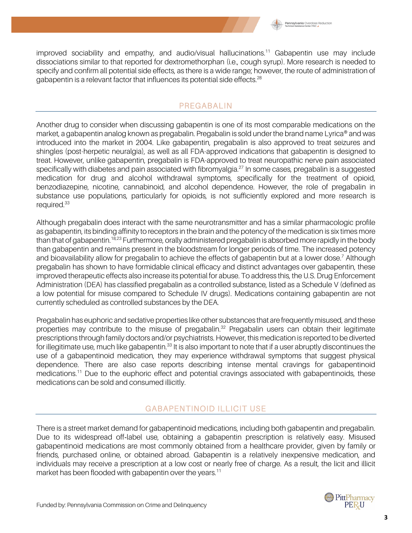

improved sociability and empathy, and audio/visual hallucinations.11 Gabapentin use may include dissociations similar to that reported for dextromethorphan (i.e., cough syrup). More research is needed to specify and confirm all potential side effects, as there is a wide range; however, the route of administration of gabapentin is a relevant factor that influences its potential side effects.<sup>28</sup>

#### PREGABALIN

Another drug to consider when discussing gabapentin is one of its most comparable medications on the market, a gabapentin analog known as pregabalin. Pregabalin is sold under the brand name Lyrica® and was introduced into the market in 2004. Like gabapentin, pregabalin is also approved to treat seizures and shingles (post-herpetic neuralgia), as well as all FDA-approved indications that gabapentin is designed to treat. However, unlike gabapentin, pregabalin is FDA-approved to treat neuropathic nerve pain associated specifically with diabetes and pain associated with fibromyalgia.<sup>27</sup> In some cases, pregabalin is a suggested medication for drug and alcohol withdrawal symptoms, specifically for the treatment of opioid, benzodiazepine, nicotine, cannabinoid, and alcohol dependence. However, the role of pregabalin in substance use populations, particularly for opioids, is not sufficiently explored and more research is required.<sup>33</sup>

Although pregabalin does interact with the same neurotransmitter and has a similar pharmacologic profile as gabapentin, its binding affinity to receptors in the brain and the potency of the medication is six times more than that of gabapentin.<sup>18,23</sup> Furthermore, orally administered pregabalin is absorbed more rapidly in the body than gabapentin and remains present in the bloodstream for longer periods of time. The increased potency and bioavailability allow for pregabalin to achieve the effects of gabapentin but at a lower dose.7 Although pregabalin has shown to have formidable clinical efficacy and distinct advantages over gabapentin, these improved therapeutic effects also increase its potential for abuse. To address this, the U.S. Drug Enforcement Administration (DEA) has classified pregabalin as a controlled substance, listed as a Schedule V (defined as a low potential for misuse compared to Schedule IV drugs). Medications containing gabapentin are not currently scheduled as controlled substances by the DEA.

Pregabalin has euphoric and sedative properties like other substances that are frequently misused, and these properties may contribute to the misuse of pregabalin.<sup>32</sup> Pregabalin users can obtain their legitimate prescriptions through family doctors and/or psychiatrists. However, this medication is reported to be diverted for illegitimate use, much like gabapentin.<sup>33</sup> It is also important to note that if a user abruptly discontinues the use of a gabapentinoid medication, they may experience withdrawal symptoms that suggest physical dependence. There are also case reports describing intense mental cravings for gabapentinoid medications.<sup>11</sup> Due to the euphoric effect and potential cravings associated with gabapentinoids, these medications can be sold and consumed illicitly.

## GABAPENTINOID ILLICIT USE

There is a street market demand for gabapentinoid medications, including both gabapentin and pregabalin. Due to its widespread off-label use, obtaining a gabapentin prescription is relatively easy. Misused gabapentinoid medications are most commonly obtained from a healthcare provider, given by family or friends, purchased online, or obtained abroad. Gabapentin is a relatively inexpensive medication, and individuals may receive a prescription at a low cost or nearly free of charge. As a result, the licit and illicit market has been flooded with gabapentin over the years.<sup>11</sup>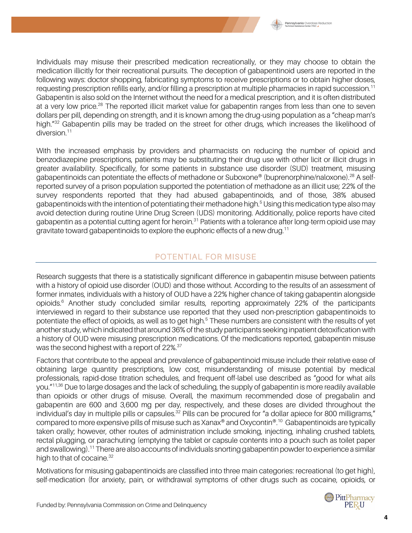

Individuals may misuse their prescribed medication recreationally, or they may choose to obtain the medication illicitly for their recreational pursuits. The deception of gabapentinoid users are reported in the following ways: doctor shopping, fabricating symptoms to receive prescriptions or to obtain higher doses, requesting prescription refills early, and/or filling a prescription at multiple pharmacies in rapid succession.11 Gabapentin is also sold on the Internet without the need for a medical prescription, and it is often distributed at a very low price.<sup>28</sup> The reported illicit market value for gabapentin ranges from less than one to seven dollars per pill, depending on strength, and it is known among the drug-using population as a "cheap man's high."<sup>32</sup> Gabapentin pills may be traded on the street for other drugs, which increases the likelihood of diversion.<sup>11</sup>

With the increased emphasis by providers and pharmacists on reducing the number of opioid and benzodiazepine prescriptions, patients may be substituting their drug use with other licit or illicit drugs in greater availability. Specifically, for some patients in substance use disorder (SUD) treatment, misusing gabapentinoids can potentiate the effects of methadone or Suboxone® (buprenorphine/naloxone).28 A selfreported survey of a prison population supported the potentiation of methadone as an illicit use; 22% of the survey respondents reported that they had abused gabapentinoids, and of those, 38% abused gabapentinoids with the intention of potentiating their methadone high.<sup>5</sup> Using this medication type also may avoid detection during routine Urine Drug Screen (UDS) monitoring. Additionally, police reports have cited gabapentin as a potential cutting agent for heroin.<sup>31</sup> Patients with a tolerance after long-term opioid use may gravitate toward gabapentinoids to explore the euphoric effects of a new drug.11

# POTENTIAL FOR MISUSE

Research suggests that there is a statistically significant difference in gabapentin misuse between patients with a history of opioid use disorder (OUD) and those without. According to the results of an assessment of former inmates, individuals with a history of OUD have a 22% higher chance of taking gabapentin alongside opioids.6 Another study concluded similar results, reporting approximately 22% of the participants interviewed in regard to their substance use reported that they used non-prescription gabapentinoids to potentiate the effect of opioids, as well as to get high.<sup>5</sup> These numbers are consistent with the results of yet another study, which indicated that around 36% of the study participants seeking inpatient detoxification with a history of OUD were misusing prescription medications. Of the medications reported, gabapentin misuse was the second highest with a report of 22%.<sup>37</sup>

Factors that contribute to the appeal and prevalence of gabapentinoid misuse include their relative ease of obtaining large quantity prescriptions, low cost, misunderstanding of misuse potential by medical professionals, rapid-dose titration schedules, and frequent off-label use described as "good for what ails you."<sup>11,36</sup> Due to large dosages and the lack of scheduling, the supply of gabapentin is more readily available than opioids or other drugs of misuse. Overall, the maximum recommended dose of pregabalin and gabapentin are 600 and 3,600 mg per day, respectively, and these doses are divided throughout the individual's day in multiple pills or capsules.<sup>32</sup> Pills can be procured for "a dollar apiece for 800 milligrams," compared to more expensive pills of misuse such as Xanax® and Oxycontin®.10 Gabapentinoids are typically taken orally; however, other routes of administration include smoking, injecting, inhaling crushed tablets, rectal plugging, or parachuting (emptying the tablet or capsule contents into a pouch such as toilet paper and swallowing).<sup>11</sup> There are also accounts of individuals snorting gabapentin powder to experience a similar high to that of cocaine.<sup>32</sup>

Motivations for misusing gabapentinoids are classified into three main categories: recreational (to get high), self-medication (for anxiety, pain, or withdrawal symptoms of other drugs such as cocaine, opioids, or

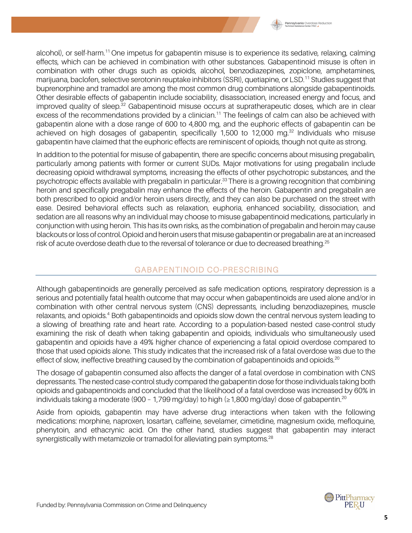

alcohol), or self-harm.11 One impetus for gabapentin misuse is to experience its sedative, relaxing, calming effects, which can be achieved in combination with other substances. Gabapentinoid misuse is often in combination with other drugs such as opioids, alcohol, benzodiazepines, zopiclone, amphetamines, marijuana, baclofen, selective serotonin reuptake inhibitors (SSRI), quetiapine, or LSD.<sup>11</sup> Studies suggest that buprenorphine and tramadol are among the most common drug combinations alongside gabapentinoids. Other desirable effects of gabapentin include sociability, disassociation, increased energy and focus, and improved quality of sleep.<sup>32</sup> Gabapentinoid misuse occurs at supratherapeutic doses, which are in clear excess of the recommendations provided by a clinician.<sup>11</sup> The feelings of calm can also be achieved with gabapentin alone with a dose range of 600 to 4,800 mg, and the euphoric effects of gabapentin can be achieved on high dosages of gabapentin, specifically 1,500 to 12,000 mg.32 Individuals who misuse gabapentin have claimed that the euphoric effects are reminiscent of opioids, though not quite as strong.

In addition to the potential for misuse of gabapentin, there are specific concerns about misusing pregabalin, particularly among patients with former or current SUDs. Major motivations for using pregabalin include decreasing opioid withdrawal symptoms, increasing the effects of other psychotropic substances, and the psychotropic effects available with pregabalin in particular.<sup>33</sup> There is a growing recognition that combining heroin and specifically pregabalin may enhance the effects of the heroin. Gabapentin and pregabalin are both prescribed to opioid and/or heroin users directly, and they can also be purchased on the street with ease. Desired behavioral effects such as relaxation, euphoria, enhanced sociability, dissociation, and sedation are all reasons why an individual may choose to misuse gabapentinoid medications, particularly in conjunction with using heroin. This has its own risks, as the combination of pregabalin and heroin may cause blackouts or loss of control.Opioid and heroin users that misuse gabapentin or pregabalin are at an increased risk of acute overdose death due to the reversal of tolerance or due to decreased breathing.<sup>25</sup>

## GABAPENTINOID CO-PRESCRIBING

Although gabapentinoids are generally perceived as safe medication options, respiratory depression is a serious and potentially fatal health outcome that may occur when gabapentinoids are used alone and/or in combination with other central nervous system (CNS) depressants, including benzodiazepines, muscle relaxants, and opioids.4 Both gabapentinoids and opioids slow down the central nervous system leading to a slowing of breathing rate and heart rate. According to a population-based nested case-control study examining the risk of death when taking gabapentin and opioids, individuals who simultaneously used gabapentin and opioids have a 49% higher chance of experiencing a fatal opioid overdose compared to those that used opioids alone. This study indicates that the increased risk of a fatal overdose was due to the effect of slow, ineffective breathing caused by the combination of gabapentinoids and opioids.<sup>20</sup>

The dosage of gabapentin consumed also affects the danger of a fatal overdose in combination with CNS depressants. The nested case-control study compared the gabapentin dose for those individuals taking both opioids and gabapentinoids and concluded that the likelihood of a fatal overdose was increased by 60% in individuals taking a moderate (900 - 1,799 mg/day) to high ( $\geq$  1,800 mg/day) dose of gabapentin.<sup>20</sup>

Aside from opioids, gabapentin may have adverse drug interactions when taken with the following medications: morphine, naproxen, losartan, caffeine, sevelamer, cimetidine, magnesium oxide, mefloquine, phenytoin, and ethacrynic acid. On the other hand, studies suggest that gabapentin may interact synergistically with metamizole or tramadol for alleviating pain symptoms.<sup>28</sup>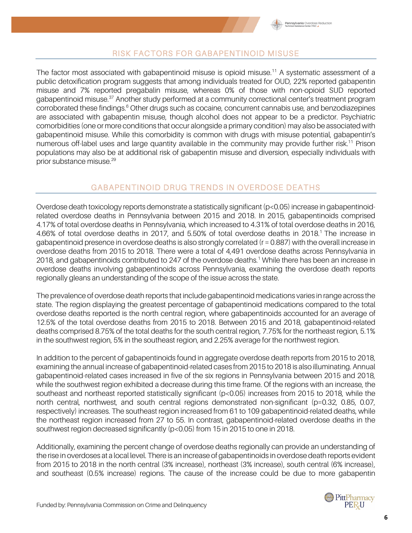

#### RISK FACTORS FOR GABAPENTINOID MISUSE

The factor most associated with gabapentinoid misuse is opioid misuse.<sup>11</sup> A systematic assessment of a public detoxification program suggests that among individuals treated for OUD, 22% reported gabapentin misuse and 7% reported pregabalin misuse, whereas 0% of those with non-opioid SUD reported gabapentinoid misuse.<sup>37</sup> Another study performed at a community correctional center's treatment program corroborated these findings.<sup>6</sup> Other drugs such as cocaine, concurrent cannabis use, and benzodiazepines are associated with gabapentin misuse, though alcohol does not appear to be a predictor. Psychiatric comorbidities (one or more conditions that occur alongside a primary condition) may also be associated with gabapentinoid misuse. While this comorbidity is common with drugs with misuse potential, gabapentin's numerous off-label uses and large quantity available in the community may provide further risk.<sup>11</sup> Prison populations may also be at additional risk of gabapentin misuse and diversion, especially individuals with prior substance misuse.29

## GABAPENTINOID DRUG TRENDS IN OVERDOSE DEATHS

Overdose death toxicology reports demonstrate a statistically significant (p<0.05) increase in gabapentinoidrelated overdose deaths in Pennsylvania between 2015 and 2018. In 2015, gabapentinoids comprised 4.17% of total overdose deaths in Pennsylvania, which increased to 4.31% of total overdose deaths in 2016, 4.66% of total overdose deaths in 2017, and 5.50% of total overdose deaths in 2018.<sup>1</sup> The increase in gabapentinoid presence in overdose deaths is also strongly correlated (r = 0.887) with the overall increase in overdose deaths from 2015 to 2018. There were a total of 4,491 overdose deaths across Pennsylvania in 2018, and gabapentinoids contributed to 247 of the overdose deaths.<sup>1</sup> While there has been an increase in overdose deaths involving gabapentinoids across Pennsylvania, examining the overdose death reports regionally gleans an understanding of the scope of the issue across the state.

The prevalence of overdose death reports that include gabapentinoid medications varies in range across the state. The region displaying the greatest percentage of gabapentinoid medications compared to the total overdose deaths reported is the north central region, where gabapentinoids accounted for an average of 12.5% of the total overdose deaths from 2015 to 2018. Between 2015 and 2018, gabapentinoid-related deaths comprised 8.75% of the total deaths for the south central region, 7.75% for the northeast region, 5.1% in the southwest region, 5% in the southeast region, and 2.25% average for the northwest region.

In addition to the percent of gabapentinoids found in aggregate overdose death reports from 2015 to 2018, examining the annual increase of gabapentinoid-related cases from 2015 to 2018 is also illuminating. Annual gabapentinoid-related cases increased in five of the six regions in Pennsylvania between 2015 and 2018, while the southwest region exhibited a decrease during this time frame. Of the regions with an increase, the southeast and northeast reported statistically significant (p<0.05) increases from 2015 to 2018, while the north central, northwest, and south central regions demonstrated non-significant (p=0.32, 0.85, 0.07, respectively) increases. The southeast region increased from 61 to 109 gabapentinoid-related deaths, while the northeast region increased from 27 to 55. In contrast, gabapentinoid-related overdose deaths in the southwest region decreased significantly (p<0.05) from 15 in 2015 to one in 2018.

Additionally, examining the percent change of overdose deaths regionally can provide an understanding of the rise in overdoses at a local level. There is an increase of gabapentinoids in overdose death reports evident from 2015 to 2018 in the north central (3% increase), northeast (3% increase), south central (6% increase), and southeast (0.5% increase) regions. The cause of the increase could be due to more gabapentin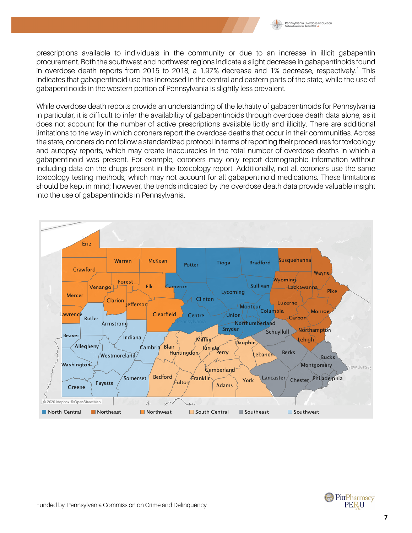

prescriptions available to individuals in the community or due to an increase in illicit gabapentin procurement. Both the southwest and northwest regions indicate a slight decrease in gabapentinoids found in overdose death reports from 2015 to 2018, a 1.97% decrease and 1% decrease, respectively.<sup>1</sup> This indicates that gabapentinoid use has increased in the central and eastern parts of the state, while the use of gabapentinoids in the western portion of Pennsylvania is slightly less prevalent.

While overdose death reports provide an understanding of the lethality of gabapentinoids for Pennsylvania in particular, it is difficult to infer the availability of gabapentinoids through overdose death data alone, as it does not account for the number of active prescriptions available licitly and illicitly. There are additional limitations to the way in which coroners report the overdose deaths that occur in their communities. Across the state, coroners do not follow a standardized protocol in terms of reporting their procedures for toxicology and autopsy reports, which may create inaccuracies in the total number of overdose deaths in which a gabapentinoid was present. For example, coroners may only report demographic information without including data on the drugs present in the toxicology report. Additionally, not all coroners use the same toxicology testing methods, which may not account for all gabapentinoid medications. These limitations should be kept in mind; however, the trends indicated by the overdose death data provide valuable insight into the use of gabapentinoids in Pennsylvania.



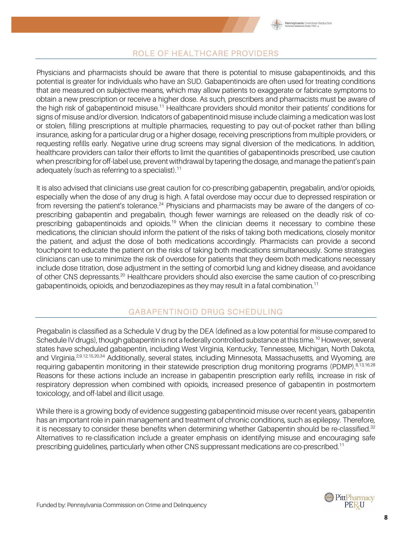

## ROLE OF HEALTHCARE PROVIDERS

Physicians and pharmacists should be aware that there is potential to misuse gabapentinoids, and this potential is greater for individuals who have an SUD. Gabapentinoids are often used for treating conditions that are measured on subjective means, which may allow patients to exaggerate or fabricate symptoms to obtain a new prescription or receive a higher dose. As such, prescribers and pharmacists must be aware of the high risk of gabapentinoid misuse.<sup>11</sup> Healthcare providers should monitor their patients' conditions for signs of misuse and/or diversion. Indicators of gabapentinoid misuse include claiming a medication was lost or stolen, filling prescriptions at multiple pharmacies, requesting to pay out-of-pocket rather than billing insurance, asking for a particular drug or a higher dosage, receiving prescriptions from multiple providers, or requesting refills early. Negative urine drug screens may signal diversion of the medications. In addition, healthcare providers can tailor their efforts to limit the quantities of gabapentinoids prescribed, use caution when prescribing for off-label use, prevent withdrawal by tapering the dosage, and manage the patient's pain adequately (such as referring to a specialist).<sup>11</sup>

It is also advised that clinicians use great caution for co-prescribing gabapentin, pregabalin, and/or opioids, especially when the dose of any drug is high. A fatal overdose may occur due to depressed respiration or from reversing the patient's tolerance.<sup>24</sup> Physicians and pharmacists may be aware of the dangers of coprescribing gabapentin and pregabalin, though fewer warnings are released on the deadly risk of coprescribing gabapentinoids and opioids.<sup>19</sup> When the clinician deems it necessary to combine these medications, the clinician should inform the patient of the risks of taking both medications, closely monitor the patient, and adjust the dose of both medications accordingly. Pharmacists can provide a second touchpoint to educate the patient on the risks of taking both medications simultaneously. Some strategies clinicians can use to minimize the risk of overdose for patients that they deem both medications necessary include dose titration, dose adjustment in the setting of comorbid lung and kidney disease, and avoidance of other CNS depressants.20 Healthcare providers should also exercise the same caution of co-prescribing gabapentinoids, opioids, and benzodiazepines as they may result in a fatal combination.<sup>11</sup>

## GABAPENTINOID DRUG SCHEDULING

Pregabalin is classified as a Schedule V drug by the DEA (defined as a low potential for misuse compared to Schedule IV drugs), though gabapentin is not a federally controlled substance at this time.<sup>10</sup> However, several states have scheduled gabapentin, including West Virginia, Kentucky, Tennessee, Michigan, North Dakota, and Virginia.2,9,12,15,20,34 Additionally, several states, including Minnesota, Massachusetts, and Wyoming, are requiring gabapentin monitoring in their statewide prescription drug monitoring programs (PDMP).<sup>8,13,16,28</sup> Reasons for these actions include an increase in gabapentin prescription early refills, increase in risk of respiratory depression when combined with opioids, increased presence of gabapentin in postmortem toxicology, and off-label and illicit usage.

While there is a growing body of evidence suggesting gabapentinoid misuse over recent years, gabapentin has an important role in pain management and treatment of chronic conditions, such as epilepsy. Therefore, it is necessary to consider these benefits when determining whether Gabapentin should be re-classified.<sup>32</sup> Alternatives to re-classification include a greater emphasis on identifying misuse and encouraging safe prescribing guidelines, particularly when other CNS suppressant medications are co-prescribed.<sup>11</sup>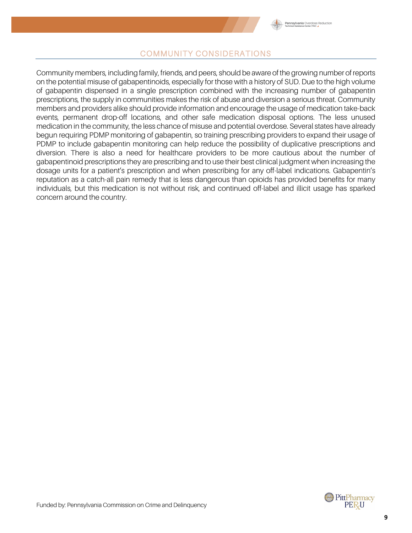

#### COMMUNITY CONSIDERATIONS

Community members, including family, friends, and peers, should be aware of the growing number of reports on the potential misuse of gabapentinoids, especially for those with a history of SUD. Due to the high volume of gabapentin dispensed in a single prescription combined with the increasing number of gabapentin prescriptions, the supply in communities makes the risk of abuse and diversion a serious threat. Community members and providers alike should provide information and encourage the usage of medication take-back events, permanent drop-off locations, and other safe medication disposal options. The less unused medication in the community, the less chance of misuse and potential overdose. Several states have already begun requiring PDMP monitoring of gabapentin, so training prescribing providers to expand their usage of PDMP to include gabapentin monitoring can help reduce the possibility of duplicative prescriptions and diversion. There is also a need for healthcare providers to be more cautious about the number of gabapentinoid prescriptions they are prescribing and to use their best clinical judgment when increasing the dosage units for a patient's prescription and when prescribing for any off-label indications. Gabapentin's reputation as a catch-all pain remedy that is less dangerous than opioids has provided benefits for many individuals, but this medication is not without risk, and continued off-label and illicit usage has sparked concern around the country.

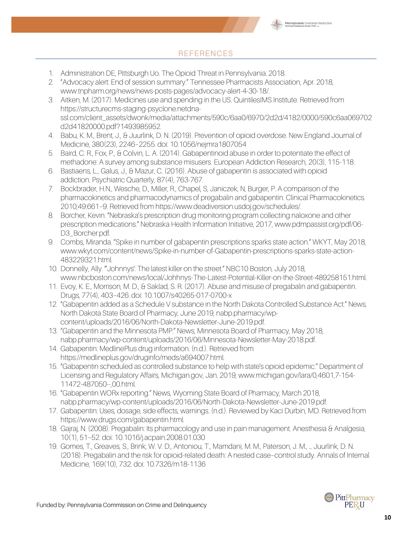

# **REFERENCES**

- 1. Administration DE, Pittsburgh Uo. The Opioid Threat in Pennsylvania. 2018.
- 2. "Advocacy alert: End of session summary." Tennessee Pharmacists Association, Apr. 2018, www.tnpharm.org/news/news-posts-pages/advocacy-alert-4-30-18/.
- 3. Aitken, M. (2017). Medicines use and spending in the US. QuintilesIMS Institute. Retrieved from https://structurecms-staging-psyclone.netdnassl.com/client\_assets/dwonk/media/attachments/590c/6aa0/6970/2d2d/4182/0000/590c6aa069702 d2d41820000.pdf?1493985952.
- 4. Babu, K. M., Brent, J., & Juurlink, D. N. (2019). Prevention of opioid overdose. New England Journal of Medicine, 380(23), 2246–2255. doi: 10.1056/nejmra1807054
- 5. Baird, C. R., Fox, P., & Colvin, L. A. (2014). Gabapentinoid abuse in order to potentiate the effect of methadone: A survey among substance misusers. European Addiction Research, 20(3), 115-118.
- 6. Bastiaens, L., Galus, J., & Mazur, C. (2016). Abuse of gabapentin is associated with opioid addiction. Psychiatric Quarterly, 87(4), 763-767.
- 7. Bockbrader, H.N., Wesche, D., Miller, R., Chapel, S, Janiczek, N, Burger, P. A comparison of the pharmacokinetics and pharmacodynamics of pregabalin and gabapentin. Clinical Pharmacokinetics. 2010;49:661–9. Retrieved from https://www.deadiversion.usdoj.gov/schedules/.
- 8. Borcher, Kevin. "Nebraska's prescription drug monitoring program collecting naloxone and other prescription medications." Nebraska Health Information Initiative, 2017, www.pdmpassist.org/pdf/06- D3\_Borcher.pdf.
- 9. Combs, Miranda. "Spike in number of gabapentin prescriptions sparks state action." WKYT, May 2018, www.wkyt.com/content/news/Spike-in-number-of-Gabapentin-prescriptions-sparks-state-action-483229321.html.
- 10. Donnelly, Ally. "'Johnnys': The latest killer on the street." NBC10 Boston, July 2018, www.nbcboston.com/news/local/Johhnys-The-Latest-Potential-Killer-on-the-Street-489258151.html.
- 11. Evoy, K. E., Morrison, M. D., & Saklad, S. R. (2017). Abuse and misuse of pregabalin and gabapentin. Drugs, 77(4), 403–426. doi: 10.1007/s40265-017-0700-x
- 12. "Gabapentin added as a Schedule V substance in the North Dakota Controlled Substance Act." News, North Dakota State Board of Pharmacy, June 2019, nabp.pharmacy/wpcontent/uploads/2016/06/North-Dakota-Newsletter-June-2019.pdf.
- 13. "Gabapentin and the Minnesota PMP." News, Minnesota Board of Pharmacy, May 2018, nabp.pharmacy/wp-content/uploads/2016/06/Minnesota-Newsletter-May-2018.pdf.
- 14. Gabapentin: MedlinePlus drug information. (n.d.). Retrieved from https://medlineplus.gov/druginfo/meds/a694007.html.
- 15. "Gabapentin scheduled as controlled substance to help with state's opioid epidemic." Department of Licensing and Regulatory Affairs, Michigan.gov, Jan. 2019, www.michigan.gov/lara/0,4601,7-154- 11472-487050--,00.html.
- 16. "Gabapentin WORx reporting." News, Wyoming State Board of Pharmacy, March 2018, nabp.pharmacy/wp-content/uploads/2016/06/North-Dakota-Newsletter-June-2019.pdf.
- 17. Gabapentin: Uses, dosage, side effects, warnings. (n.d.). Reviewed by Kaci Durbin, MD. Retrieved from https://www.drugs.com/gabapentin.html.
- 18. Gajraj, N. (2008). Pregabalin: Its pharmacology and use in pain management. Anesthesia & Analgesia, 10(1), 51–52. doi: 10.1016/j.acpain.2008.01.030
- 19. Gomes, T., Greaves, S., Brink, W. V. D., Antoniou, T., Mamdani, M. M., Paterson, J. M., … Juurlink, D. N. (2018). Pregabalin and the risk for opioid-related death: A nested case–control study. Annals of Internal Medicine, 169(10), 732. doi: 10.7326/m18-1136